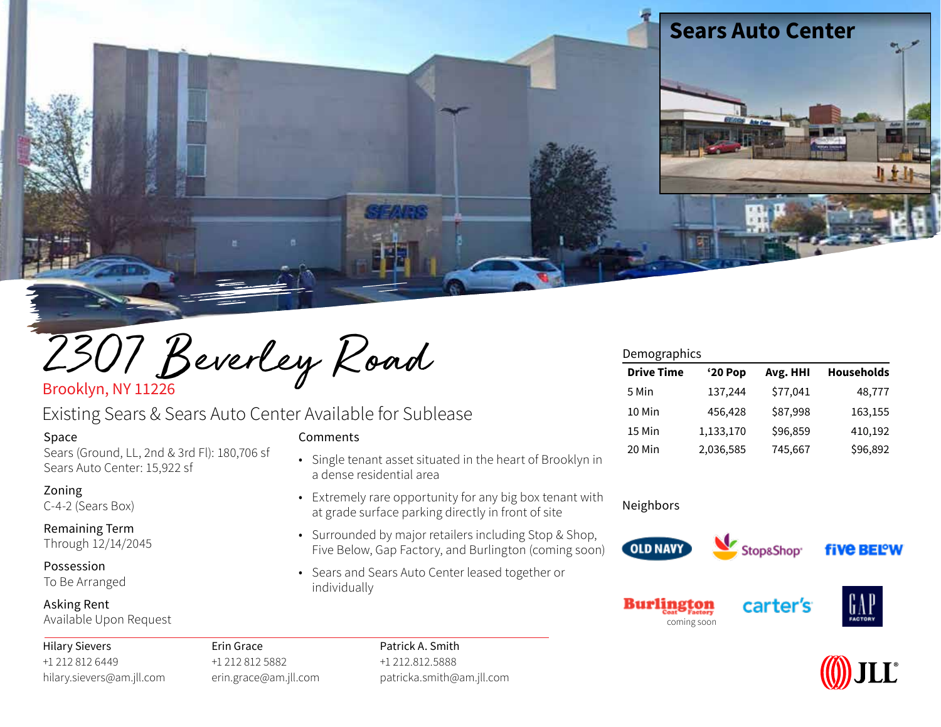# 2307 Beverley Road

Brooklyn, NY 11226

# Existing Sears & Sears Auto Center Available for Sublease

#### Space

Sears (Ground, LL, 2nd & 3rd Fl): 180,706 sf Sears Auto Center: 15,922 sf

#### Zoning C-4-2 (Sears Box)

# Remaining Term

Through 12/14/2045

### Possession To Be Arranged

# Asking Rent

Available Upon Request

## Comments

- Single tenant asset situated in the heart of Brooklyn in a dense residential area
- Extremely rare opportunity for any big box tenant with at grade surface parking directly in front of site
- Surrounded by major retailers including Stop & Shop, Five Below, Gap Factory, and Burlington (coming soon)
- Sears and Sears Auto Center leased together or individually

## **Demographics Drive Time '20 Pop Avg. HHI Households** 5 Min 137,244 \$77,041 48,777 10 Min 456,428 \$87,998 163,155 15 Min 1,133,170 \$96,859 410,192 20 Min 2,036,585 745,667 \$96,892

**Sears Auto Center**

## Neighbors



**Burlington** 

coming soon



carter's







Hilary Sievers +1 212 812 6449 hilary.sievers@am.jll.com Erin Grace +1 212 812 5882 erin.grace@am.jll.com Patrick A. Smith +1 212.812.5888 patricka.smith@am.jll.com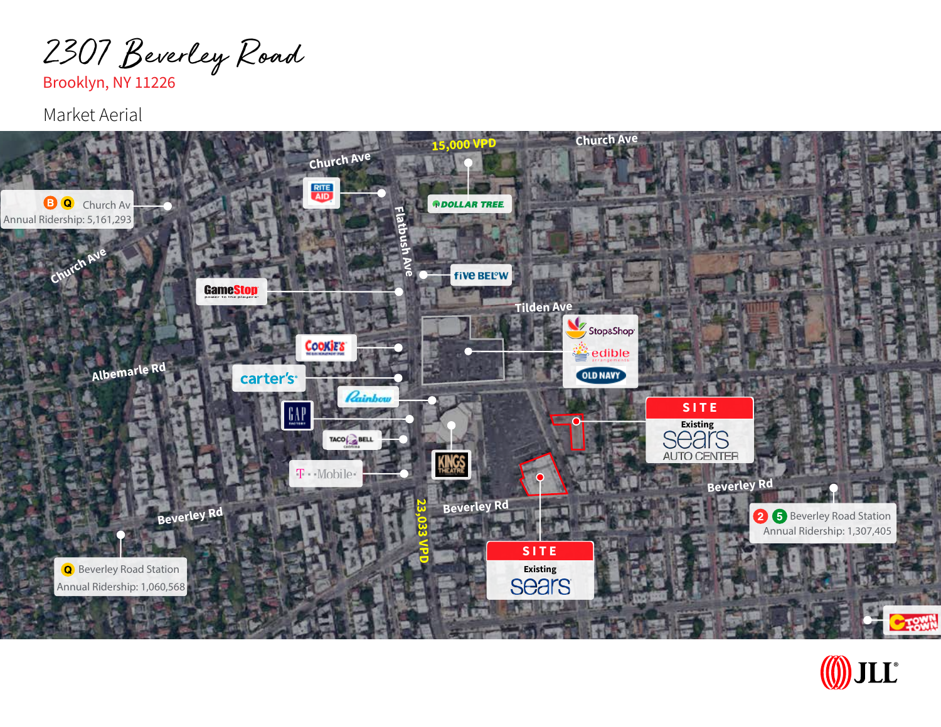2307 Beverley Road

Brooklyn, NY 11226 **Brooklyn NY**

Market Aerial